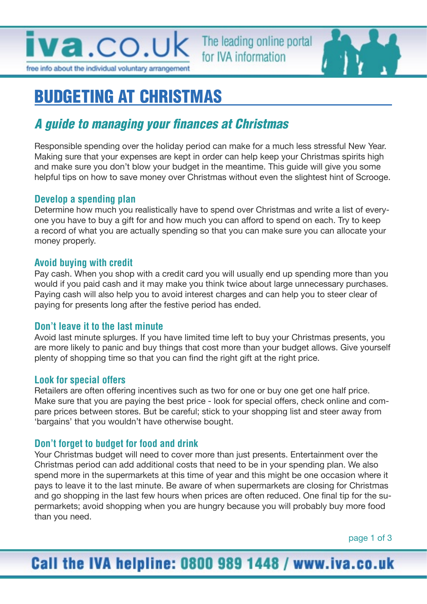

The leading online portal for IVA information



# BUDGETING AT CHRISTMAS

## A guide to managing your finances at Christmas

Responsible spending over the holiday period can make for a much less stressful New Year. Making sure that your expenses are kept in order can help keep your Christmas spirits high and make sure you don't blow your budget in the meantime. This guide will give you some helpful tips on how to save money over Christmas without even the slightest hint of Scrooge.

#### **Develop a spending plan**

Determine how much you realistically have to spend over Christmas and write a list of everyone you have to buy a gift for and how much you can afford to spend on each. Try to keep a record of what you are actually spending so that you can make sure you can allocate your money properly.

#### **Avoid buying with credit**

Pay cash. When you shop with a credit card you will usually end up spending more than you would if you paid cash and it may make you think twice about large unnecessary purchases. Paying cash will also help you to avoid interest charges and can help you to steer clear of paying for presents long after the festive period has ended.

#### **Don't leave it to the last minute**

Avoid last minute splurges. If you have limited time left to buy your Christmas presents, you are more likely to panic and buy things that cost more than your budget allows. Give yourself plenty of shopping time so that you can find the right gift at the right price.

#### **Look for special offers**

Retailers are often offering incentives such as two for one or buy one get one half price. Make sure that you are paying the best price - look for special offers, check online and compare prices between stores. But be careful; stick to your shopping list and steer away from 'bargains' that you wouldn't have otherwise bought.

#### **Don't forget to budget for food and drink**

Your Christmas budget will need to cover more than just presents. Entertainment over the Christmas period can add additional costs that need to be in your spending plan. We also spend more in the supermarkets at this time of year and this might be one occasion where it pays to leave it to the last minute. Be aware of when supermarkets are closing for Christmas and go shopping in the last few hours when prices are often reduced. One final tip for the supermarkets; avoid shopping when you are hungry because you will probably buy more food than you need.

## Call the IVA helpline: 0800 989 1448 / www.iva.co.uk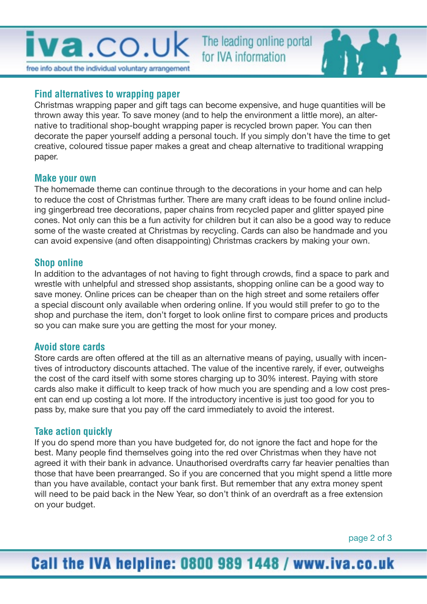The leading online portal for IVA information



#### **Find alternatives to wrapping paper**

Christmas wrapping paper and gift tags can become expensive, and huge quantities will be thrown away this year. To save money (and to help the environment a little more), an alternative to traditional shop-bought wrapping paper is recycled brown paper. You can then decorate the paper yourself adding a personal touch. If you simply don't have the time to get creative, coloured tissue paper makes a great and cheap alternative to traditional wrapping paper.

#### **Make your own**

The homemade theme can continue through to the decorations in your home and can help to reduce the cost of Christmas further. There are many craft ideas to be found online including gingerbread tree decorations, paper chains from recycled paper and glitter spayed pine cones. Not only can this be a fun activity for children but it can also be a good way to reduce some of the waste created at Christmas by recycling. Cards can also be handmade and you can avoid expensive (and often disappointing) Christmas crackers by making your own.

#### **Shop online**

In addition to the advantages of not having to fight through crowds, find a space to park and wrestle with unhelpful and stressed shop assistants, shopping online can be a good way to save money. Online prices can be cheaper than on the high street and some retailers offer a special discount only available when ordering online. If you would still prefer to go to the shop and purchase the item, don't forget to look online first to compare prices and products so you can make sure you are getting the most for your money.

#### **Avoid store cards**

Store cards are often offered at the till as an alternative means of paying, usually with incentives of introductory discounts attached. The value of the incentive rarely, if ever, outweighs the cost of the card itself with some stores charging up to 30% interest. Paying with store cards also make it difficult to keep track of how much you are spending and a low cost present can end up costing a lot more. If the introductory incentive is just too good for you to pass by, make sure that you pay off the card immediately to avoid the interest.

#### **Take action quickly**

If you do spend more than you have budgeted for, do not ignore the fact and hope for the best. Many people find themselves going into the red over Christmas when they have not agreed it with their bank in advance. Unauthorised overdrafts carry far heavier penalties than those that have been prearranged. So if you are concerned that you might spend a little more than you have available, contact your bank first. But remember that any extra money spent will need to be paid back in the New Year, so don't think of an overdraft as a free extension on your budget.

page 2 of 3

## Call the IVA helpline: 0800 989 1448 / www.iva.co.uk